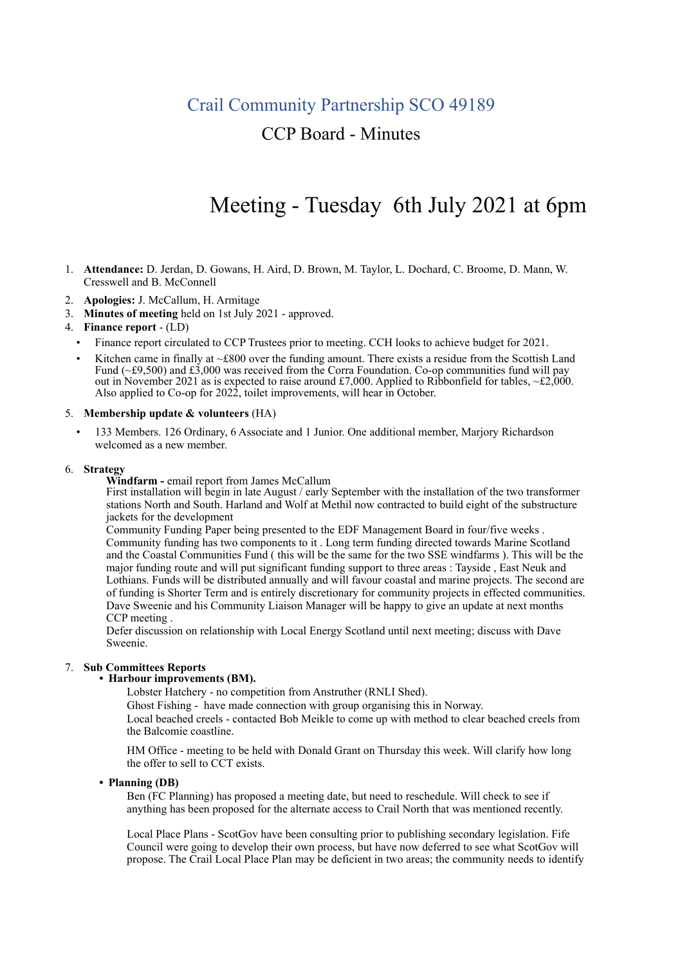## Crail Community Partnership SCO 49189

## CCP Board - Minutes

# Meeting - Tuesday 6th July 2021 at 6pm

- 1. **Attendance:** D. Jerdan, D. Gowans, H. Aird, D. Brown, M. Taylor, L. Dochard, C. Broome, D. Mann, W. Cresswell and B. McConnell
- 2. **Apologies:** J. McCallum, H. Armitage
- 3. **Minutes of meeting** held on 1st July 2021 approved.

## 4. **Finance report** - (LD)

- Finance report circulated to CCP Trustees prior to meeting. CCH looks to achieve budget for 2021.
- Kitchen came in finally at  $\sim$ £800 over the funding amount. There exists a residue from the Scottish Land Fund ( $\text{-}$ £9,500) and £3,000 was received from the Corra Foundation. Co-op communities fund will pay out in November 2021 as is expected to raise around £7,000. Applied to Ribbonfield for tables, ~£2,000. Also applied to Co-op for 2022, toilet improvements, will hear in October.

#### 5. **Membership update & volunteers** (HA)

• 133 Members. 126 Ordinary, 6 Associate and 1 Junior. One additional member, Marjory Richardson welcomed as a new member.

### 6. **Strategy**

**Windfarm -** email report from James McCallum

First installation will begin in late August / early September with the installation of the two transformer stations North and South. Harland and Wolf at Methil now contracted to build eight of the substructure jackets for the development

Community Funding Paper being presented to the EDF Management Board in four/five weeks . Community funding has two components to it . Long term funding directed towards Marine Scotland and the Coastal Communities Fund ( this will be the same for the two SSE windfarms ). This will be the major funding route and will put significant funding support to three areas : Tayside , East Neuk and Lothians. Funds will be distributed annually and will favour coastal and marine projects. The second are of funding is Shorter Term and is entirely discretionary for community projects in effected communities. Dave Sweenie and his Community Liaison Manager will be happy to give an update at next months CCP meeting .

Defer discussion on relationship with Local Energy Scotland until next meeting; discuss with Dave Sweenie.

# 7. **Sub Committees Reports • Harbour improvements (BM).**

Lobster Hatchery - no competition from Anstruther (RNLI Shed).

Ghost Fishing - have made connection with group organising this in Norway.

Local beached creels - contacted Bob Meikle to come up with method to clear beached creels from the Balcomie coastline.

HM Office - meeting to be held with Donald Grant on Thursday this week. Will clarify how long the offer to sell to CCT exists.

**• Planning (DB)**

Ben (FC Planning) has proposed a meeting date, but need to reschedule. Will check to see if anything has been proposed for the alternate access to Crail North that was mentioned recently.

Local Place Plans - ScotGov have been consulting prior to publishing secondary legislation. Fife Council were going to develop their own process, but have now deferred to see what ScotGov will propose. The Crail Local Place Plan may be deficient in two areas; the community needs to identify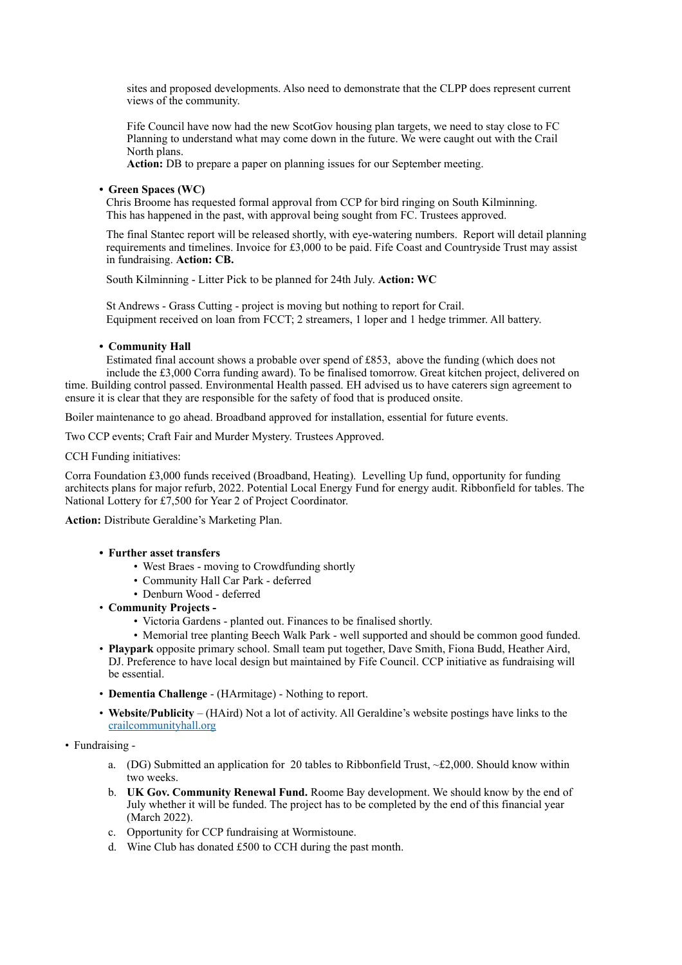sites and proposed developments. Also need to demonstrate that the CLPP does represent current views of the community.

Fife Council have now had the new ScotGov housing plan targets, we need to stay close to FC Planning to understand what may come down in the future. We were caught out with the Crail North plans.

**Action:** DB to prepare a paper on planning issues for our September meeting.

## **• Green Spaces (WC)**

Chris Broome has requested formal approval from CCP for bird ringing on South Kilminning. This has happened in the past, with approval being sought from FC. Trustees approved.

The final Stantec report will be released shortly, with eye-watering numbers. Report will detail planning requirements and timelines. Invoice for £3,000 to be paid. Fife Coast and Countryside Trust may assist in fundraising. **Action: CB.**

South Kilminning - Litter Pick to be planned for 24th July. **Action: WC**

St Andrews - Grass Cutting - project is moving but nothing to report for Crail. Equipment received on loan from FCCT; 2 streamers, 1 loper and 1 hedge trimmer. All battery.

## **• Community Hall**

Estimated final account shows a probable over spend of £853, above the funding (which does not include the £3,000 Corra funding award). To be finalised tomorrow. Great kitchen project, delivered on time. Building control passed. Environmental Health passed. EH advised us to have caterers sign agreement to ensure it is clear that they are responsible for the safety of food that is produced onsite.

Boiler maintenance to go ahead. Broadband approved for installation, essential for future events.

Two CCP events; Craft Fair and Murder Mystery. Trustees Approved.

CCH Funding initiatives:

Corra Foundation £3,000 funds received (Broadband, Heating). Levelling Up fund, opportunity for funding architects plans for major refurb, 2022. Potential Local Energy Fund for energy audit. Ribbonfield for tables. The National Lottery for £7,500 for Year 2 of Project Coordinator.

**Action:** Distribute Geraldine's Marketing Plan.

## **• Further asset transfers**

- West Braes moving to Crowdfunding shortly
- Community Hall Car Park deferred
- Denburn Wood deferred
- **Community Projects -**
	- Victoria Gardens planted out. Finances to be finalised shortly.
	- Memorial tree planting Beech Walk Park well supported and should be common good funded.
- **Playpark** opposite primary school. Small team put together, Dave Smith, Fiona Budd, Heather Aird, DJ. Preference to have local design but maintained by Fife Council. CCP initiative as fundraising will be essential.
- **Dementia Challenge** (HArmitage) Nothing to report.
- **Website/Publicity** (HAird) Not a lot of activity. All Geraldine's website postings have links to the [crailcommunityhall.org](http://crailcommunityhall.org)
- Fundraising
	- a. (DG) Submitted an application for 20 tables to Ribbonfield Trust,  $\approx$  £2,000. Should know within two weeks.
	- b. **UK Gov. Community Renewal Fund.** Roome Bay development. We should know by the end of July whether it will be funded. The project has to be completed by the end of this financial year (March 2022).
	- c. Opportunity for CCP fundraising at Wormistoune.
	- d. Wine Club has donated £500 to CCH during the past month.